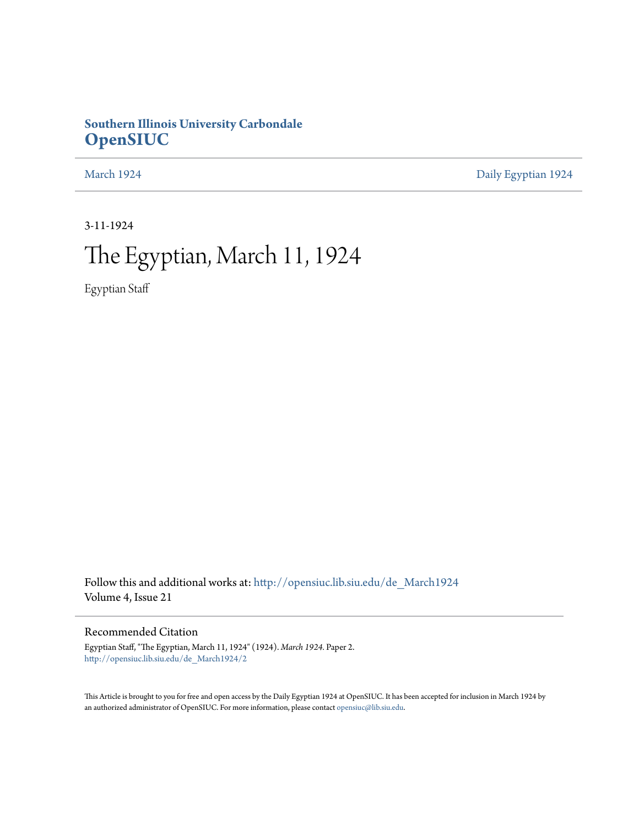# **Southern Illinois University Carbondale [OpenSIUC](http://opensiuc.lib.siu.edu?utm_source=opensiuc.lib.siu.edu%2Fde_March1924%2F2&utm_medium=PDF&utm_campaign=PDFCoverPages)**

[March 1924](http://opensiuc.lib.siu.edu/de_March1924?utm_source=opensiuc.lib.siu.edu%2Fde_March1924%2F2&utm_medium=PDF&utm_campaign=PDFCoverPages) [Daily Egyptian 1924](http://opensiuc.lib.siu.edu/de_1924?utm_source=opensiuc.lib.siu.edu%2Fde_March1924%2F2&utm_medium=PDF&utm_campaign=PDFCoverPages)

3-11-1924

# The Egyptian, March 11, 1924

Egyptian Staff

Follow this and additional works at: [http://opensiuc.lib.siu.edu/de\\_March1924](http://opensiuc.lib.siu.edu/de_March1924?utm_source=opensiuc.lib.siu.edu%2Fde_March1924%2F2&utm_medium=PDF&utm_campaign=PDFCoverPages) Volume 4, Issue 21

## Recommended Citation

Egyptian Staff, "The Egyptian, March 11, 1924" (1924). *March 1924.* Paper 2. [http://opensiuc.lib.siu.edu/de\\_March1924/2](http://opensiuc.lib.siu.edu/de_March1924/2?utm_source=opensiuc.lib.siu.edu%2Fde_March1924%2F2&utm_medium=PDF&utm_campaign=PDFCoverPages)

This Article is brought to you for free and open access by the Daily Egyptian 1924 at OpenSIUC. It has been accepted for inclusion in March 1924 by an authorized administrator of OpenSIUC. For more information, please contact [opensiuc@lib.siu.edu.](mailto:opensiuc@lib.siu.edu)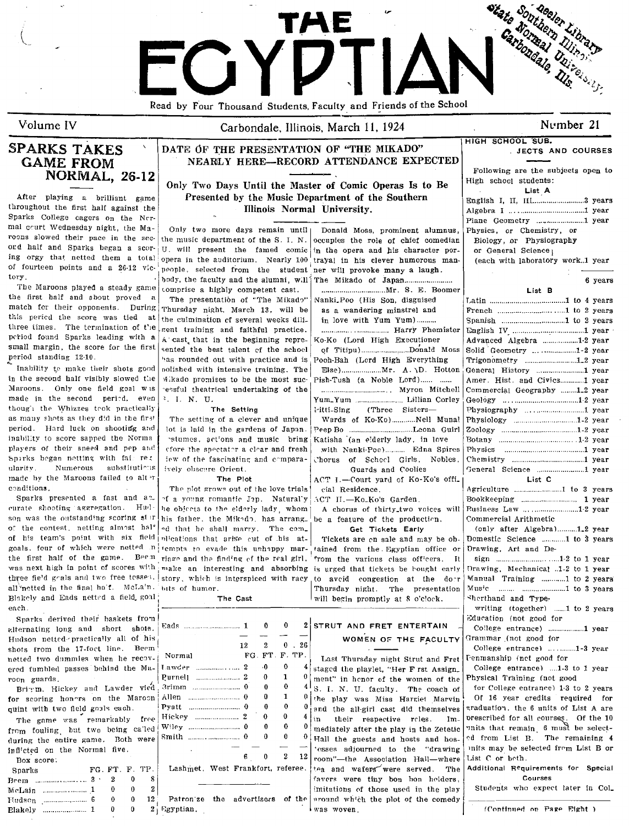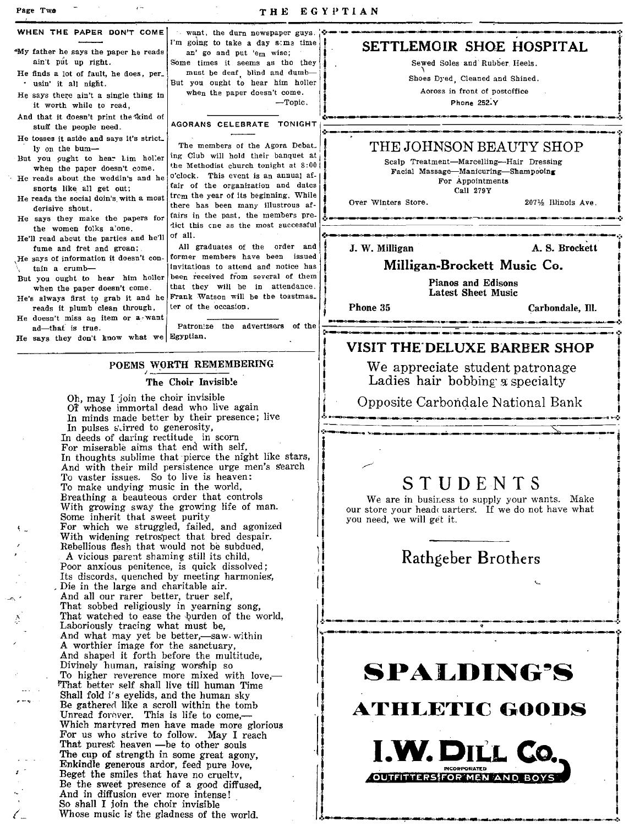Page Twe

THE EGYPTIAN

| WHEN THE PAPER DON'T COME                                                                                                                                                                                                                                     | want, the durn newspaper guys                                                                                                                                                                                                                                                                                                                                                                                                                                                                                                                                 |                                                                                                                                                                                             |                                   |  |
|---------------------------------------------------------------------------------------------------------------------------------------------------------------------------------------------------------------------------------------------------------------|---------------------------------------------------------------------------------------------------------------------------------------------------------------------------------------------------------------------------------------------------------------------------------------------------------------------------------------------------------------------------------------------------------------------------------------------------------------------------------------------------------------------------------------------------------------|---------------------------------------------------------------------------------------------------------------------------------------------------------------------------------------------|-----------------------------------|--|
| "My father he says the paper he reads<br>ain't put up right.                                                                                                                                                                                                  | I'm going to take a day same time<br>an' go and put 'em wise;<br>Some times it seems as tho they                                                                                                                                                                                                                                                                                                                                                                                                                                                              | SETTLEMOIR SHOE HOSPITAL<br>Sewed Soles and Rubber Heels.<br>Shoes Dyed. Cleaned and Shined.<br>Across in front of postoffice<br>Phone 252-Y                                                |                                   |  |
| He finds a lot of fault, he does, per_<br>· usin' it all night.<br>He says there ain't a single thing in<br>it worth while to read,                                                                                                                           | must be deaf blind and dumb-<br>But you ought to hear him holler<br>when the paper doesn't come.<br>-Topic.                                                                                                                                                                                                                                                                                                                                                                                                                                                   |                                                                                                                                                                                             |                                   |  |
| And that it doesn't print the kind of<br>stuff the people need.                                                                                                                                                                                               | AGORANS CELEBRATE TONIGHT                                                                                                                                                                                                                                                                                                                                                                                                                                                                                                                                     |                                                                                                                                                                                             |                                   |  |
| He tosses it aside and says it's strict.<br>ly on the bum-<br>But you ought to hear him holler<br>when the paper doesn't come.<br>He reads about the weddin's and he<br>snorts like all get out;<br>He reads the social doin's with a most<br>derisive shout. | The members of the Agora Debat.<br>ing Club will hold their banquet at<br>the Methodist church tonight at 8:00!<br>o'clock. This event is an annual af-<br>tair of the organization and dates<br>from the year of its beginning. While<br>there has been many illustrous af-<br>fairs in the past, the members pre-<br>dict this cne as the most successful<br>of all.<br>All graduates of the order and<br>former members have been issued<br>invitations to attend and notice has<br>been received from several of them<br>that they will be in attendance. | THE JOHNSON BEAUTY SHOP<br>Scalp Treatment-Marcelling-Hair Dressing<br>Facial Massage-Manicuring-Shampooing<br>For Appointments<br>Call 279Y<br>Over Winters Store.<br>2071/2 Illinois Ave. |                                   |  |
| He says they make the papers for<br>the women folks alone.<br>He'll read about the parties and he'll                                                                                                                                                          |                                                                                                                                                                                                                                                                                                                                                                                                                                                                                                                                                               | J. W. Milligan                                                                                                                                                                              | A. S. Brockett                    |  |
| fume and fret and groan;<br>He says of information it doesn't con-<br>tain a crumb-<br>But you ought to hear him holler                                                                                                                                       |                                                                                                                                                                                                                                                                                                                                                                                                                                                                                                                                                               | Milligan-Brockett Music Co.                                                                                                                                                                 |                                   |  |
| when the paper doesn't come.<br>He's always first to grab it and he Frank Watson will be the toastmas.                                                                                                                                                        |                                                                                                                                                                                                                                                                                                                                                                                                                                                                                                                                                               | Pianos and Edisons<br>Latest Sheet Music                                                                                                                                                    |                                   |  |
| reads it plumb clean through,<br>He doesn't miss an item or a want<br>ad-that is true.                                                                                                                                                                        | ter of the occasion.<br>Patronize the advertisers of the                                                                                                                                                                                                                                                                                                                                                                                                                                                                                                      | Phone 35                                                                                                                                                                                    | Carbondale, Ill.                  |  |
| He says they don't know what we Egyptian.                                                                                                                                                                                                                     |                                                                                                                                                                                                                                                                                                                                                                                                                                                                                                                                                               | VISIT THE DELUXE BARBER SHOP                                                                                                                                                                |                                   |  |
| POEMS WORTH REMEMBERING<br>The Choir Invisible                                                                                                                                                                                                                |                                                                                                                                                                                                                                                                                                                                                                                                                                                                                                                                                               | We appreciate student patronage<br>Ladies hair bobbing a specialty                                                                                                                          |                                   |  |
| Oh, may I join the choir invisible<br>Of whose immortal dead who live again                                                                                                                                                                                   |                                                                                                                                                                                                                                                                                                                                                                                                                                                                                                                                                               |                                                                                                                                                                                             | Opposite Carbondale National Bank |  |

In minds made better by their presence; live

In thoughts sublime that pierce the night like stars, And with their mild persistence urge men's search

In pulses stirred to generosity, In deeds of daring rectitude in scorn For miserable aims that end with self,

To vaster issues. So to live is heaven:

A vicious parent shaming still its child, Poor anxious penitence, is quick dissolved; Its discords, quenched by meeting harmonies,

Die in the large and charitable air. And all our rarer better, truer self,

Laboriously tracing what must be, And what may yet be better,-saw within A worthier image for the sanctuary, And shaped it forth before the multitude, Divinely human, raising worship so

With growing sway the growing life of man.<br>Some inherit that sweet purity

For which we struggled, failed, and agonized With widening retrospect that bred despair. Rebellious flesh that would not be subdued,

That sobbed religiously in yearning song,<br>That watched to ease the burden of the world,

To higher reverence more mixed with love,-'That better self shall live till human Time Shall fold i's eyelids, and the human sky Be gathered like a scroll within the tomb<br>Unread forever. This is life to come,—

Which martyred men have made more glorious For us who strive to follow. May I reach That purest heaven - be to other souls

The cup of strength in some great agony, Enkindle generous ardor, feed pure love, Beget the smiles that have no cruelty,

Be the sweet presence of a good diffused. And in diffusion ever more intense! So shall I join the choir invisible Whose music is the gladness of the world.

To make undying music in the world, Breathing a beauteous order that controls

# STUDENTS

We are in business to supply your wants. Make our store your head uarters. If we do not have what you need, we will get it.

Rathgeber Brothers

# **SPALDING'S**

**ATHLETIC GOODS** 

**I.W. DILL CO.** 

OUTFITTERS FOR MEN AND BOYS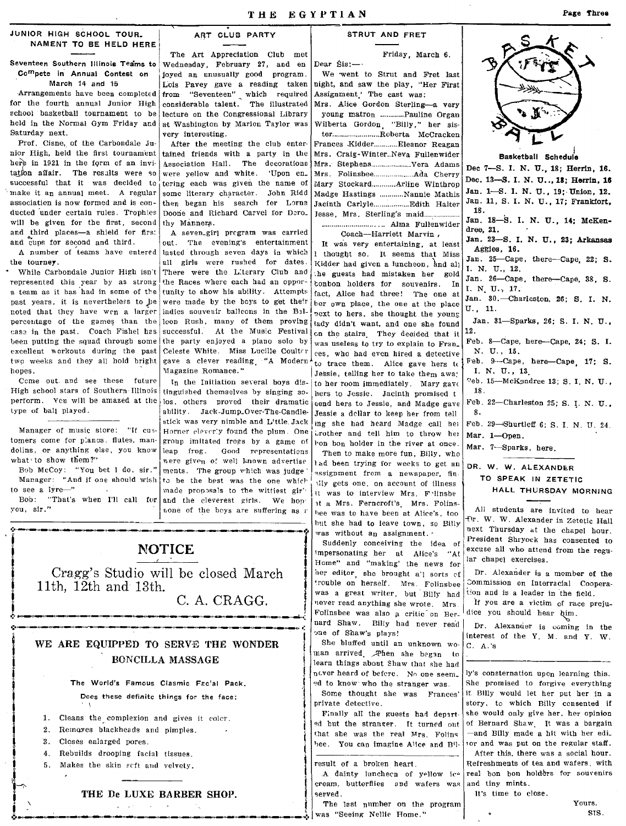Dear Sis:-

### JUNIOR HIGH SCHOOL TOUR. NAMENT TO BE HELD HERE

Seventeen Southern Illinois Teams to Compete in Annual Contest on March 14 and 15

Arrangements have been completed for the fourth annual Junior High school basketball tournament to be held in the Normal Gym Friday and Saturday next.

Prof. Cisne, of the Carbondale Junior High, held the first tournament here in 1921 in the form of an invitation affair. The results were so successful that it was decided to make it an annual meet. A regular association is now formed and is conducted under certain rules. Trophies will be given for the first, second and third places-a shield for first and cups for second and third.

A number of teams have entered the tourney.

\* While Carbondale Junior High isn't represented this year by as strong a team as it has had in some of the past years, it is nevertheless to be noted that they have wen a larger percentage of the games than the cass in the past. Coach Fishel has been putting the squad through some excellent workouts during the past two weeks and they all hold bright hopes.

Come out and see these future High school stars of Southern Illinois perform. You will be amazed at the los, others proved their dramatic type of ball played.

Manager of music store: "If customers come for planos, flutes, mandolins, or anything else, you know what to show them?"

Bob McCoy: "You bet I do, sir." Manager: "And if one should wish to see a lyre-"

Bob: "That's when I'll call for you,  $\sin$  ."

 $\mathbf{1}$ .

 $\overline{2}$ .

 $\mathbf{R}$ .

 $4.$ 

11th, 12th and 13th.

ART CLUB PARTY

The Art Appreciation Club met Wednesday, February 27, and en joyed an unusually good program. Lois Pavey gave a reading taken from "Seventeen" which required<br>considerable talent. The illustrated lecture on the Congressional Library at Washington by Marion Taylor was very interesting.

After the meeting the club entertained friends with a party in the Association Hall. The decorations were yellow and white. 'Upon en. tering each was given the name of some literary character. John Ridd then began his search for Lorna Doone and Richard Carvel for Dero. thy Manners.

A seven.girl program was carried out. The evening's entertainment lasted through seven days in which all girls were rushed for dates. There were the Literary Club and the Races where each had an opportunity to show his ability. Attempts were made by the boys to get their iadies souvenir ballcons in the Balleon Rush, many of them proving successful. At the Music Festival the party enjoyed a piano solo by Celeste White. Miss Lucille Coulter gave a clever reading "A Modern Magazine Romance."

In the Initiation several boys distinguished themselves by singing soability. Jack-Jump\_Over-The-Candlestick was very nimble and Little. Jack Horner cleverly found the plum. One group imitated frogs by a game of leap frog. Good representations were given of well known advertise ments. The group which was judge to be the best was the one which made proposals to the wittiest gir' and the eleverest girls. We hop none of the boys are suffering as a

C. A. CRAGG.

**NOTICE** 

Cragg's Studio will be closed March

WE ARE EQUIPPED TO SERVE THE WONDER

The World's Famous Clasmic Facial Pack.

Does these definite things for the face:

THE De LUXE BARBER SHOP.

Cleans the complexion and gives it coler.

Removes blackheads and nimples.

Rebuilds drooping facial tissues.

Makes the skin seft and velvety.

Closes enlarged pores.

BONCILLA MASSAGE

## STRUT AND FRET

Friday, March 6.

We went to Strut and Fret last night, and saw the play, "Her First Assignment The cast was:

Mrs. Alice Gordon Sterling-a very young matron ........... Pauline Organ Wilberta Gordon "Billy," her sis-Frances Kidder............ Eleanor Reagan Mrs. Craig-Winter..Neva Fullenwider Mary Stockard............Arline Winthrop Madge Hastings ........... Nannie Mathis Jesse, Mrs. Sterling's maid.................

Coach--Harriett Marvin,

It was very entertaining, at least I thought so. It seems that Miss Kidder had given a luncheon, and all the guests had mistaken her gold conbon holders for souvenirs. In fact, Alice had three! The one at ber own place, the one at the place next to hers, she thought the young tady didn't want, and one she found on the stairs. They decided that it was useless to try to explain to Fran\_ ces, who had even hired a detective to trace them. Alice gave hers to Jessie, telling her to take them awa; to her room immediately. Mary gave hers to Jessie. Jacinth promised t send hers to Jessie, and Madge gave Jessie a dellar to keep her from tell ing she had heard Madge call her brother and tell him to throw her bon bon holder in the river at once.

Then to make more fun, Billy, who tad been trying for weeks to get an assignment from a newspaper, fintily gets one, on account of illness it was to interview Mrs. Folinsbe it a Mrs. Ferncroft's Mrs. Folins. hee was to have been at Alice's, too but she had to leave town, so Billy was without an assignment. .

Suddenly conceiving the idea of impersonating her at Alice's "At Home" and "making" the news for her editor, she brought a'l sorts of trouble on herself. Mrs. Folinsbee was a great writer, but Billy had never read anything she wrote. Mrs Folinsbee was also a critic on Bernard Shaw. Billy had never read one of Shaw's plays!

She bluffed until an unknown woman arrived. Then she began to learn things about Shaw that she had never heard of befere. No one seem. ed to know who the stranger was. Some thought she was Frances' private detective.

Finally all the guests had departed but the stranger. It turned out that she was the real Mrs. Folins bee. You can imagine Alice and Bil-

### result of a broken heart.

A dainty luncheen of yellow ice cream, butterflies and wafers was served.

The last number on the program was "Seeing Nellie Home."



TO SPEAK IN ZETETIC HALL THURSDAY MORNING

All students are invited to hear fvr. W. W. Alexander in Zetetic Hall next Thursday at the chapel hour. President Shryock has consented to excuse all who attend from the regular chapel exercises.

Dr. Alexander is a member of the Commission on Interracial Cooperation and is a leader in the field. If you are a victim of race preju-

dice you should hear him.

Dr. Alexander is coming in the interest of the Y. M. and Y. W.  $C. A.'s$ 

ly's consternation upon learning this. She promised to forgive everything if. Billy would let her put her in a story, to which Billy consented if she would only give her, her opinion of Bernard Shaw, It was a bargain -and Billy made a hit with her edi. tor and was put on the regular staff. After this, there was a social hour. Refreshments of tea and wafers, with real bon bon holders for souvenirs

and tiny mints. It's time to close.

Yours. SIS.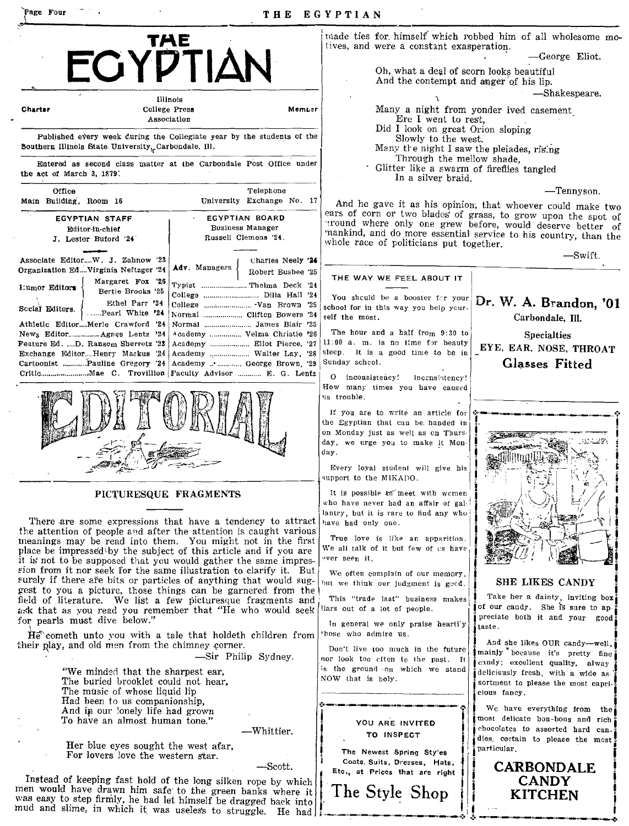| Page Four                                                                                                                                                                                                                                                                                                                                                                                                                                                                                                                                                                                                                                                                                                    | THE                                                                                                                 | EGYPTIAN                                                                                                                                                                                                                                           |                                                                                                                                                                                                |
|--------------------------------------------------------------------------------------------------------------------------------------------------------------------------------------------------------------------------------------------------------------------------------------------------------------------------------------------------------------------------------------------------------------------------------------------------------------------------------------------------------------------------------------------------------------------------------------------------------------------------------------------------------------------------------------------------------------|---------------------------------------------------------------------------------------------------------------------|----------------------------------------------------------------------------------------------------------------------------------------------------------------------------------------------------------------------------------------------------|------------------------------------------------------------------------------------------------------------------------------------------------------------------------------------------------|
| ECYPTIAN                                                                                                                                                                                                                                                                                                                                                                                                                                                                                                                                                                                                                                                                                                     |                                                                                                                     | tives, and were a constant exasperation.<br>Oh, what a deal of scorn looks beautiful<br>And the contempt and anger of his lip.                                                                                                                     | made ties for himself which robbed him of all wholesome mo-<br>-George Eliot.                                                                                                                  |
| Charter                                                                                                                                                                                                                                                                                                                                                                                                                                                                                                                                                                                                                                                                                                      | Illinois<br>College Press<br>Memuer                                                                                 | Ere I went to rest.                                                                                                                                                                                                                                | -Shakespeare.<br>Many a night from yonder ived casement                                                                                                                                        |
| Association<br>Published every week during the Collegiate year by the students of the<br>Southern Illinois State University, Carbondale, Ill.                                                                                                                                                                                                                                                                                                                                                                                                                                                                                                                                                                |                                                                                                                     | Did I look on great Orion sloping<br>Slowly to the west.<br>Many the night I saw the pleiades, rising<br>Through the mellow shade.<br>Glitter like a swarm of fireflies tangled<br>In a silver braid.                                              |                                                                                                                                                                                                |
| Entered as second class matter at the Carbondale Post Office under<br>the act of March 3, 1879.                                                                                                                                                                                                                                                                                                                                                                                                                                                                                                                                                                                                              |                                                                                                                     |                                                                                                                                                                                                                                                    |                                                                                                                                                                                                |
| Office<br>Main Building, Room 16                                                                                                                                                                                                                                                                                                                                                                                                                                                                                                                                                                                                                                                                             | Telephone<br>University Exchange No. 17                                                                             |                                                                                                                                                                                                                                                    | -Tennyson.<br>And he gave it as his opinion, that whoever could make two                                                                                                                       |
| EGYPTIAN STAFF<br>Editor-in-chief<br>J. Lester Buford '24'                                                                                                                                                                                                                                                                                                                                                                                                                                                                                                                                                                                                                                                   | EGYPTIAN BOARD<br><b>Business Manager</b><br>Russell Clemens '24.                                                   | whole race of politicians put together.                                                                                                                                                                                                            | ears of corn or two blades of grass, to grow upon the spot of<br>cround where only one grew before, would deserve better of<br>mankind, and do more essential service to his country, than the |
| Associate EditorW. J. Zahnow '23<br>Organization EdVirginia Neftzger '24                                                                                                                                                                                                                                                                                                                                                                                                                                                                                                                                                                                                                                     | Charles Neely '24<br>Adv. Managers<br>Robert Busbee '25                                                             |                                                                                                                                                                                                                                                    | -Swift.                                                                                                                                                                                        |
| Margaret Fox '26<br>I'umor Editors<br>Bertie Brooks '25                                                                                                                                                                                                                                                                                                                                                                                                                                                                                                                                                                                                                                                      | Typist  Thelma Deck '24<br>College  Dilla Hall '24                                                                  | THE WAY WE FEEL ABOUT IT<br>You should be a booster for your                                                                                                                                                                                       |                                                                                                                                                                                                |
| Ethel Parr '24<br>Social Editors.<br>Pearl White '24<br>Athletic EditorMerle Crawford '24                                                                                                                                                                                                                                                                                                                                                                                                                                                                                                                                                                                                                    | College  -Van Brown '25<br>Normal  Clifton Bowers '24<br>Normal  James Blair '25                                    | school for in this way you help your.<br>self the most.                                                                                                                                                                                            | Dr. W. A. Brandon, '01<br>Carbondale, Ill.                                                                                                                                                     |
| News Editor Agnes Lentz '24<br>Feature Ed. D. Ransom Sherretz '23<br>Exchange EditorHenry Markus 24<br>Cartoonist  Pauline Gregory '24                                                                                                                                                                                                                                                                                                                                                                                                                                                                                                                                                                       | Academy  Velma Christie '26<br>Academy  Eliot Pierce, '27<br>Academy  Walter Lay, '28<br>Academy  George Brown, '29 | The hour and a half from 9:30 to<br>$11:00$ a. m. is no time for beauty<br>sleep. It is a good time to be in<br>Sunday scheol.                                                                                                                     | <b>Specialties</b><br>EYE, EAR, NOSE, THROAT<br>Glasses Fitted                                                                                                                                 |
|                                                                                                                                                                                                                                                                                                                                                                                                                                                                                                                                                                                                                                                                                                              |                                                                                                                     | O inconsistency!<br>incensistency!<br>How many times you have caused<br>us trouble.<br>If you are to write an article for<br>the Egyptian that can be handed in<br>on Monday just as well as on Thurs-<br>day, we urge you to make it Mon-<br>day. |                                                                                                                                                                                                |
|                                                                                                                                                                                                                                                                                                                                                                                                                                                                                                                                                                                                                                                                                                              | PICTURESQUE FRAGMENTS                                                                                               | Every loyal student will give his<br>support to the MIKADO.<br>It is possible $t\overline{n}$ meet with women<br>who have never had an affair of gal-<br>lantry, but it is rare to find any who                                                    |                                                                                                                                                                                                |
| There are some expressions that have a tendency to attract<br>the attention of people and after the attention is caught various<br>meanings may be read into them. You might not in the first<br>place be impressed by the subject of this article and if you are<br>it is not to be supposed that you would gather the same impres-<br>sion from it nor seek for the same illustration to clarify it. But<br>surely if there are bits or particles of anything that would sug-<br>gest to you a picture, those things can be garnered from the<br>field of literature. We list a few picturesque fragments and<br>ask that as you read you remember that "He who would seek<br>for pearls must dive below." |                                                                                                                     | have had only one.<br>True love is like an apparition.<br>We all talk of it but few of us have<br>ever seen it.<br>We often complain of our memory,                                                                                                |                                                                                                                                                                                                |
|                                                                                                                                                                                                                                                                                                                                                                                                                                                                                                                                                                                                                                                                                                              |                                                                                                                     | but we think our judgment is geed.<br>This "trade last" business makes<br>liars out of a lot of people.<br>In general we only praise heartily<br>taste.                                                                                            | SHE LIKES CANDY<br>Take her a dainty, inviting box<br>of our caudy. She is sure to ap-<br>preciate both it and your good:                                                                      |
| $H\tilde{e}^{\uparrow}$ cometh unto you with a tale that holdeth children from<br>their play, and old men from the chimney corner.<br>-Sir Philip Sydney.                                                                                                                                                                                                                                                                                                                                                                                                                                                                                                                                                    |                                                                                                                     | those who admire us.<br>Don't live too much in the future<br>nor look too cften to the past. It                                                                                                                                                    | And she likes OUR candy--well,<br>mainly because it's pretty fine<br>eandy; excellent quality, alway                                                                                           |
| "We minded that the sharpest ear,<br>The buried brooklet could not hear,<br>The music of whose liquid lip<br>Had been to us companionship.<br>And in our lonely life had grown<br>To have an almost human tone."                                                                                                                                                                                                                                                                                                                                                                                                                                                                                             |                                                                                                                     | is the ground on which we stand<br>NOW that is holy.<br>YOU ARE INVITED                                                                                                                                                                            | delicicusly fresh, with a wide as-<br>sortment to please the most capri-<br>cious fancy.<br>We have everything from the<br>most delicate bon-bons and rich                                     |
| Her blue eyes sought the west afar,<br>For lovers love the western star.                                                                                                                                                                                                                                                                                                                                                                                                                                                                                                                                                                                                                                     | -Whittier.                                                                                                          | TO INSPECT<br>The Newest Spring Sty'es                                                                                                                                                                                                             | chocolates to assorted hard can-<br>dies, certain to please the most;<br>particular.                                                                                                           |
| men would have drawn him safe to the green banks where it<br>was easy to step firmly, he had let himself be dragged back into<br>mud and slime, in which it was useless to struggle. He had                                                                                                                                                                                                                                                                                                                                                                                                                                                                                                                  | -Scott.<br>Instead of keeping fast hold of the long silken rope by which                                            | Coats Suits, Dresses, Hats,<br>Etc., at Prices that are right<br>The Style Shop                                                                                                                                                                    | <b>CARBONDALE</b><br><b>CANDY</b><br><b>KITCHEN</b>                                                                                                                                            |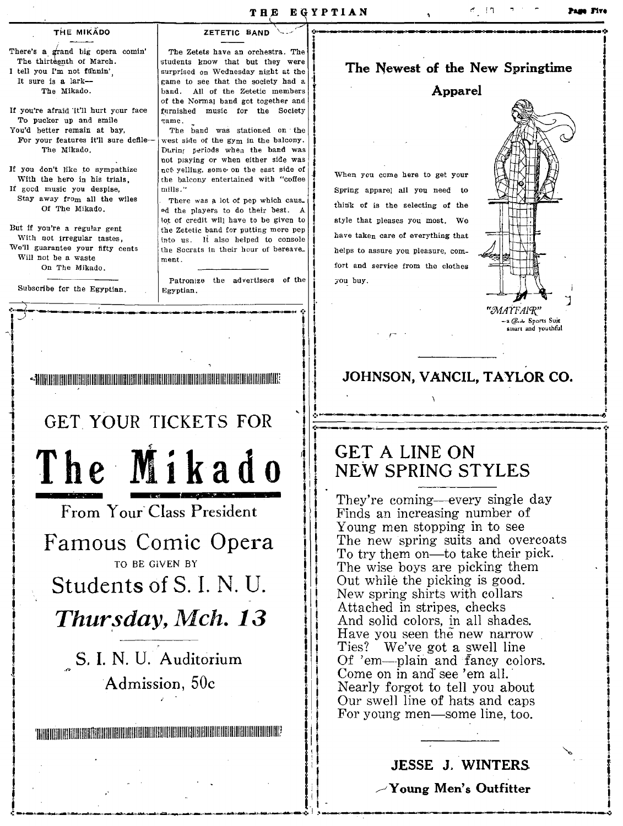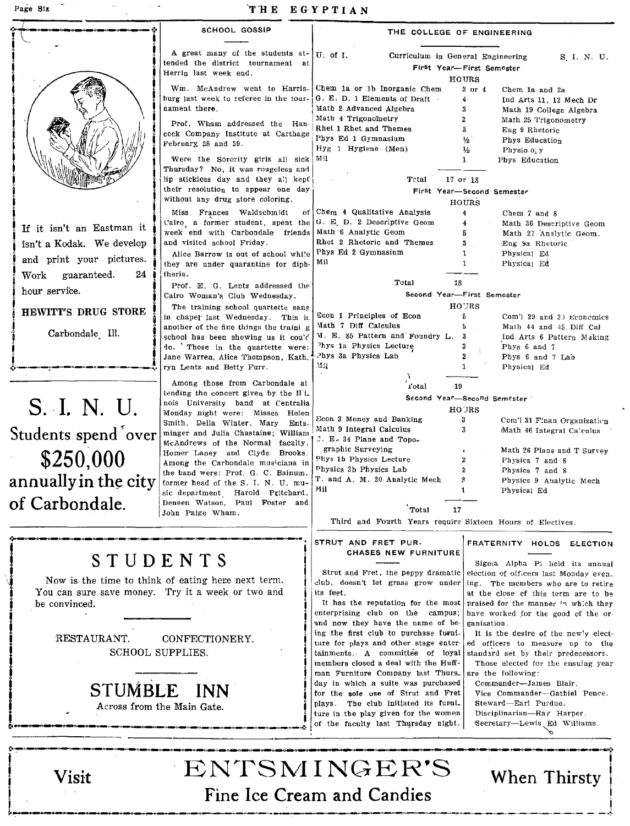J I i<br>! **;**<br>|<br>|

# Page Six 'Til E E GYPTIAN

| Page Six                                                                                                                                                                                                                                      | THE EGYPTIAN                                                                                                                                                                                                                                                                                                                                                                         |                                                                                                                                                                                                                                                                                                                                                                                                                                                                                                                                                                                                                                          |                                                                                                                                                                                                                                                                                                                                                                                                                                                                                                                                                                                     |
|-----------------------------------------------------------------------------------------------------------------------------------------------------------------------------------------------------------------------------------------------|--------------------------------------------------------------------------------------------------------------------------------------------------------------------------------------------------------------------------------------------------------------------------------------------------------------------------------------------------------------------------------------|------------------------------------------------------------------------------------------------------------------------------------------------------------------------------------------------------------------------------------------------------------------------------------------------------------------------------------------------------------------------------------------------------------------------------------------------------------------------------------------------------------------------------------------------------------------------------------------------------------------------------------------|-------------------------------------------------------------------------------------------------------------------------------------------------------------------------------------------------------------------------------------------------------------------------------------------------------------------------------------------------------------------------------------------------------------------------------------------------------------------------------------------------------------------------------------------------------------------------------------|
|                                                                                                                                                                                                                                               | SCHOOL GOSSIP                                                                                                                                                                                                                                                                                                                                                                        | THE COLLEGE OF ENGINEERING                                                                                                                                                                                                                                                                                                                                                                                                                                                                                                                                                                                                               |                                                                                                                                                                                                                                                                                                                                                                                                                                                                                                                                                                                     |
|                                                                                                                                                                                                                                               | A great many of the students at-<br>tended the district tournament at<br>Herrin last week end.                                                                                                                                                                                                                                                                                       | U. of I.<br>Curriculum in General Engineering<br>First Year-First Semester                                                                                                                                                                                                                                                                                                                                                                                                                                                                                                                                                               | S. I. N. U.                                                                                                                                                                                                                                                                                                                                                                                                                                                                                                                                                                         |
|                                                                                                                                                                                                                                               | Wm. McAndrew went to Harris-<br>burg last week to referee in the tour.<br>nament there.<br>Prof. Wham addressed the Han-<br>cock Company Institute at Carthage<br>February 28 and 29.<br>Were the Sorority girls all sick Mil<br>Thursday? No, it was rougeless and<br>lip stickless day and they all kept<br>their resolution to appear one day<br>without any drug store coloring. | HOURS<br>Chem 1a or 1b Inorganic Chem<br>G. E. D. 1 Elements of Draft.<br>4<br>Math 2 Advanced Algebra<br>3<br>Math 4 Trigonometry<br>2<br>Rhet 1 Rhet and Themes<br>3<br>Phys Ed 1 Gymnasium<br>⅓<br>Hyg 1 Hygiene (Men)<br>$\frac{1}{2}$<br>1<br>Tetal<br>17 or 18<br>First Year-Second Semester<br>HOURS                                                                                                                                                                                                                                                                                                                              | $3$ or $4$<br>Chem la and 2a<br>Ind Arts 11, 12 Mech Dr<br>Math 19 College Algebra<br>Math 25 Trigonometry<br>Eng 9 Rhetoric<br>Phys Education<br>Physio of y<br>Phys Education                                                                                                                                                                                                                                                                                                                                                                                                     |
| If it isn't an Eastman it<br>isn't a Kodak. We develop<br>and print your pictures.<br>$\operatorname{Work}$<br>guaranteed.<br>24                                                                                                              | Miss Frances Waldschmidt<br>oť<br>Cairo a former student, spent the<br>week end with Carbondale friends<br>and visited school Friday.<br>Alice Barrow is out of school while<br>they are under quarantine for diph-<br>theria.                                                                                                                                                       | $Chem$ 4 Qualitative Analysis<br>4<br>G. E. D. 2 Descriptive Geom<br>4<br>Math 6 Analytic Geom<br>5<br>Rhet 2 Rhetoric and Themes<br>3<br>Phys Ed 2 Gymnasium<br>ı<br>Mil<br>$\mathbf{1}$                                                                                                                                                                                                                                                                                                                                                                                                                                                | Chem 7 and 8<br>Math 36 Descriptive Geom<br>Math 27 Analytic Geom.<br>Eng 9a Rhetoric<br>Physical Ed<br>Physical Ed                                                                                                                                                                                                                                                                                                                                                                                                                                                                 |
| hour service.                                                                                                                                                                                                                                 | Prof. E. G. Lentz addressed the<br>Cairo Woman's Club Wednesday.<br>The training school quartette sang                                                                                                                                                                                                                                                                               | 18<br>Total<br>Second Year-First Semester<br>HOURS                                                                                                                                                                                                                                                                                                                                                                                                                                                                                                                                                                                       |                                                                                                                                                                                                                                                                                                                                                                                                                                                                                                                                                                                     |
| HEWITT'S DRUG STORE<br>Carbondale Ill.                                                                                                                                                                                                        | in chapel last Wednesday. This is<br>another of the fine things the traini g<br>school has been showing us it could<br>do. Those in the quartette were:<br>Jane Warren, Alice Thompson, Kath.<br>ryn Lentz and Betty Furr.                                                                                                                                                           | Econ 1 Principles of Econ<br>5<br>Math 7 Diff Calculus<br>5<br>M. E. 85 Pattern and Foundry L.<br>-3<br><sup>7</sup> hys 1a Physics Lecture<br>Phys 3a Physics Lab<br>Mil<br>$\mathbf{1}$                                                                                                                                                                                                                                                                                                                                                                                                                                                | Com'l 29 and 3) Economics<br>Math 44 and 45 Diff Cal<br>Ind Arts 6 Pattern Making<br>Phys 6 and 7<br>Phys 6 and 7 Lab<br>Physical Ed                                                                                                                                                                                                                                                                                                                                                                                                                                                |
| S. I. N. U.                                                                                                                                                                                                                                   | Among those from Carbondale at<br>tending the concert given by the Il i.<br>nois University band at Centralia<br>Monday night were: Misses Helen                                                                                                                                                                                                                                     | rotal<br>19<br>Second Year-Second Semester<br>HO JRS                                                                                                                                                                                                                                                                                                                                                                                                                                                                                                                                                                                     |                                                                                                                                                                                                                                                                                                                                                                                                                                                                                                                                                                                     |
| Students spend over<br>\$250,000<br>annually in the city<br>of Carbondale.                                                                                                                                                                    | Smith, Della Winter, Mary Ents-<br>minger and Julia Chastaine; William<br>McAndrews of the Normal faculty.<br>Homer Laney and Clyde Brooks.<br>Among the Carbondale musicians in<br>the band were: Prof. G. C. Bainum,<br>former head of the S. I. N. U. mu-<br>sic department - Harold - Pritchard,<br>Deneen Watson, Paul Foster and<br>John Paige Wham.                           | Econ 3 Money and Banking<br>3<br>Math 9 Integral Calculus<br>3<br>$\mathbb{C}$ . E. 34 Plane and Topo-<br>graphic Surveying<br>Phys 1b Physics Lecture<br>$\mathbf{z}$<br>Physics 3b Physics Lab<br>$\mathbf{z}$<br>T. and A. M. 20 Analytic Mech<br>3<br>Mil<br>1<br>Total<br>17                                                                                                                                                                                                                                                                                                                                                        | Com'l 31 Finan Organization<br>Math 46 Integral Calculus<br>Math 26 Plane and T Survey<br>Physics 7 and 8<br>Physics 7 and 8<br>Physics 9 Analytic Mech<br>Physical Ed                                                                                                                                                                                                                                                                                                                                                                                                              |
|                                                                                                                                                                                                                                               |                                                                                                                                                                                                                                                                                                                                                                                      | Third and Fourth Years require Sixteen Hours of Electives.<br>STRUT AND FRET PUR-                                                                                                                                                                                                                                                                                                                                                                                                                                                                                                                                                        | FRATERNITY HOLDS ELECTION                                                                                                                                                                                                                                                                                                                                                                                                                                                                                                                                                           |
| STUDENTS<br>Now is the time to think of eating here next term.<br>You can sure save money. Try it a week or two and<br>be convinced.<br>RESTAURANT.<br>CONFECTIONERY.<br><b>SCHOOL SUPPLIES.</b><br>STUMBLE INN<br>Across from the Main Gate. |                                                                                                                                                                                                                                                                                                                                                                                      | <b>CHASES NEW FURNITURE</b><br>Strut and Fret, the peppy dramatic<br>club, doesn't let grass grow under<br>its feet.<br>It has the reputation for the most<br>enterprising club on the campus;<br>and now they have the name of be-<br>ing the first club to purchase furni-<br>ture for plays and other stage enter-<br>tainments. A committee of loyal<br>members closed a deal with the Huff-<br>man Furniture Company last Thurs_<br>day in which a suite was purchased<br>for the sole use of Strut and Fret<br>plays. The club initiated its furni.<br>ture in the play given for the women<br>of the faculty last Thursday night. | Sigma Alpha Pi held its annual<br>election of officers last Monday even.<br>ing. The members who are to retire<br>at the close of this term are to be<br>praised for the manner in which they<br>have worked for the good of the or-<br>ganization.<br>It is the desire of the newly elect-<br>ed officers to measure up to the<br>standard set by their predecessors.<br>Those elected for the ensuing year<br>are the following:<br>Commander-James Blair.<br>Vice Commander-Gathiel Pence.<br>Steward-Earl Purdue.<br>Disciplinarian-Ray Harper.<br>Secretary—Lewis Ed Williams. |
| Visit                                                                                                                                                                                                                                         |                                                                                                                                                                                                                                                                                                                                                                                      | ENTSMINGER'S                                                                                                                                                                                                                                                                                                                                                                                                                                                                                                                                                                                                                             | When Thirsty                                                                                                                                                                                                                                                                                                                                                                                                                                                                                                                                                                        |

Fine Ice Cream and Candies <u>and Sandies</u> and Sandies and Sandies and Sandies and Sandies and Sandies and Sandies and Sandies and Sandies and Sandies and Sandies and Sandies and Sandies and Sandies and Sandies and Sandies a

i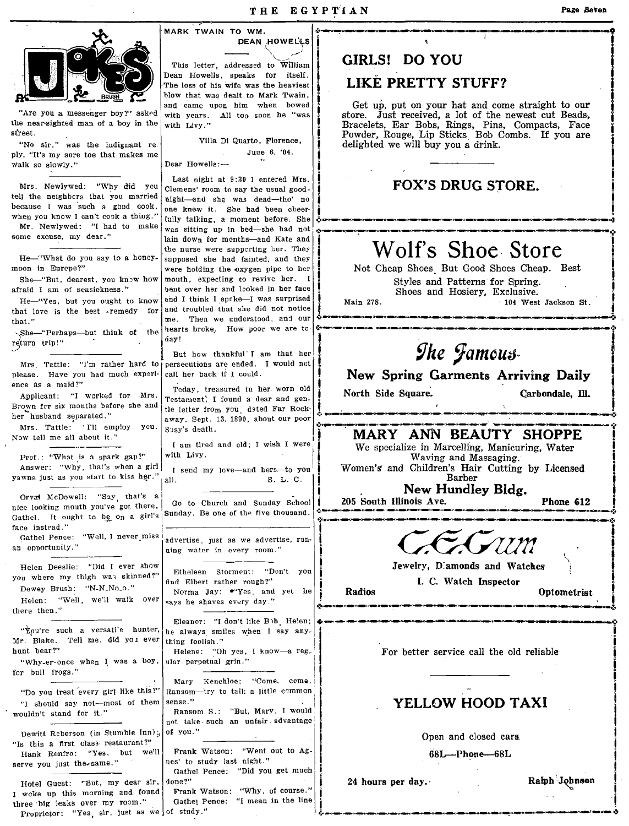'



"Are you a messenger boy?" asked with years. All too soon he "was the near-sighted man of a boy in the with Livy." sfreeL

ply, "It's my sore toe that makes me walk so slowly."

\She-"Perhaps--but think of the<br>return trip!"

Prof.: "What is a spark gap?"<br>Answer: "Why, that's when a girl

Orval McDowell: "Say, that's a ince is a incention of the five thousand Sunday School ince 100 and Sunday School ince 100 and  $\frac{1}{2}$  and  $\frac{1}{2}$  . The sunday  $\frac{1}{2}$  and  $\frac{1}{2}$  . The sunday  $\frac{1}{2}$  is  $\frac{1}{2}$ Grvat McDowell: "Say, that's a Gathel. It ought to bg on a girl's Sunday. Be one of the five thousand. face instead."<br>Gathel Pence: "Well, I never miss

Helen Deeslie: "Did I ever show Etheleen Storment: "Don't you  $\frac{1}{2}$ you where my thigh was skinned?" Elucation Storment: L<br>Dewey Brush: "N-N-No-o." | find Elbert rather rough?" Dewey Brush: "N-N-No<sub>-</sub>o." Norma Jay: "Yes, and yet he  $\begin{vmatrix} 1 & 0 & 0 \\ 0 & 0 & 0 \\ 0 & 0 & 0 \end{vmatrix}$ Helen: "Well, we'll walk over  $\vert$  says he shaves every day."

there then."

Mr. Blake. Tell me, did you ever hunt bear?" <br>
"Why-er-once when I was a boy, ular perpetual grin."<br>
Helene: "Oh yes, I know-a reg.

"I should say not-most of them sense." YELLOW HOOD TAXI - wouldn't stand for it." Ransom S.: "But, Mary, I would 1\_

Dewitt Reberson (in Stumble Inn);... of you."<br>"Is this a first class restaurant?" "Is this a first class restaurant?"<br>
Hank Renfro: "Yes, but we'll Frank Watson: "Went out to Ag-<br>
serve you just the same."<br>
nes' to study last night." serve you just the same."

Hotel Guest: "But, my dear sir, done?" I woke up this morning and found three big leaks over my room." Proprietor: "Yes, sir, just as we of study."

DEAN HOWELLS This letter, addressed to William Dean Howells, speaks for itself. blow that was dealt to Mark Twain,<br>and came upon him when bowed

Villa Di Quarto, Florence, "No sir," was the indignant re' June 6, '04.

Dear Howells:-

Last night at 9:30 I entered Mrs.  $\left| \right|$  FOX'S DRUG STORE. No sir," was the indignant rest.<br>
"No sir," was the indignant restruction of the District of Novelle ... The Stick Bob Combs. If you are<br>  $\begin{bmatrix}\n\text{with } 0 \\
\text{with } 0 \\
\text{with } 0\n\end{bmatrix}$ , "It's my sore toe that makes me<br>
Ilk so slo tell the neighbors that you married light-and she was dead-tho' no because I was such a good cook,  $\log h$  no , I am , I am a hear observed one knew it. She had been cheerwhen you know I can't cook a thing."  $\begin{bmatrix} 1 & -1 & -1 \\ \text{t{u}} & \text{t{u}} & \text{t{u}} \end{bmatrix}$  a moment before. She Mr. Newlywed: "I had to make  $\begin{bmatrix} 1 & \text{t{u}} \\ \text{was sitting up in bed—she had not} \end{bmatrix}$ cause I was such a good cook, one knew it. She had been cheer  $\frac{1}{2}$ <br>Mr. Newlywed: "I had to make was sitting up in bed-she had not, increased and not allow a sitting up in bed-she had not, increased and not allow a sit some excuse, my dear."<br>
He-"What do you say to a honey-<br>
moon in Europe?"<br>
moon in Europe?"<br>
Hence holding the exven pipe to here they are belowing the exvent pipe to here and they supposed she had fainted, and they were h Shoem "But, dearest, you know how mouth, expecting to revive her. I Styles and Patterns for Spring, afraid I am of seasickness." bent over her and looked in her face Shoes and Hosiery, Exclusive.  $He$ -"Yes, but you ought to know and I think I spoke-I was surprised  $\parallel$  Main 278. 104 West Jackson St.<br>that love is the best remedy for and troubled that she did not notice and troubled that she did not notice me. Then we understood, and our that love is the best remedy for and troubled that she did not notice  $\uparrow$   $\downarrow$ that."<br> $\frac{1}{1}$   $\frac{1}{1}$  : Then we independent the International contract of the learts broke. How poor we are to  $\frac{1}{1}$  :<br> $\frac{1}{2}$  international contract of the learts broke. How poor we are to  $\frac{1}{2}$  . The Hamp

Fecuria Crips: The Community of the Call of the South of the South of the South of the Call of the South of the South of the South of the South of the South of the South of the South of the South of the South of South of S

ence as a maid?"<br>Applicant: "I worked for Mrs. Testament; I found a dear and gen. North Side Square. Carbondale, Ill.<br>Brown for six months before she and the latter from war dated Far Bock. Brown fer six months before she and tie letter frOm you. dated Far Rock~ , her,s".husband s;parated." away~ Sept. 13,1890, about our poor .:: .... - .... -----------------.......... \_----------~---"--,--.:.

I am tired and old; I wish I were<br>with Livy.

l,

Gathel Pence: "Well, I never miss | advertise, just as we advertise, run.<br>an opportunity." ning water in every room."

Eleanor: "I don't like Blb, He!en; • \_\_ , \_\_ ---.n\_II\_~~ \_\_\_\_\_\_\_ I' \_\_\_\_ ... \_\_\_ .N \_\_ D \_\_ • \_\_ ~. \_\_ .... \_\_ ,\_.: ..

"You're such a versati'e hunter,  $\frac{1}{2}$  be always smiles when I say any-<br>r. Blake. Tell me, did you ever thing foolish."

hunt bear?"<br>
"Why-er-once when I was a boy, ular perpetual grin."<br>
I for better service call the old reliable<br>
Mary Kenchloe: "Come. come.

"Why-er-once when I was a boy, ular perpetual grin."<br>
r bull frogs."<br>"Do you treat every girl like this?" Ransom—try to talk a little common  $\begin{bmatrix} \text{Mary} & \text{Xenchloe:} \\ \text{Mary} & \text{Renson-try to talk a little common} \\ \text{Sense} & \text{Xenchloe.} \end{bmatrix}$ 

not take· such an unfair, advantage:

Gathel Pence: "Did you get much

Frank Watson: "Why, of course." Gathel Pence: "I mean in the line

# GIRLS! DO YOU

# LIKE PRETTY STUFF?

and came upon him when bowed Get up, put on your hat and come straight to our intervel a messenger boy?" asked with years. All too soon he "was store. Just received, a lot of the newest cut Beads, Bracelets, Ear Bobs, Rings, Pins, Compacts, Face Powder, Rouge, Lip Sticks Bob Combs. If you are delighted we will buy you a drink.<br>  $\begin{array}{ccc}\n & & \\
 \hline\n & & \\
 & & \\
 \hline\n & & \\
 & & \\
 \hline\n & & \\
 & & \\
 \hline\n & & \\
 & & \\
 \hline\n & & \\
 & & \\
 \hline\n & & \\
 & & \\
 \hline\n & & & \\
 & & \\
 \hline\n & & & \\
 & & & \\
 \hline\n & & & \\
 & & & \\
 \hline\n & & & \\
 & & & \\
 \hline\n & & & & \\
 \hline\n & & & & \\
 \hline\n & & & & \\
 \hline\n & & & & \\
 \hline\n & & & & \\
 \hline\n & & & & \\
 \hline\n & & & & \\
 \hline$ 

 $\frac{1}{2}$  , and the set of the set of the set of the set of the set of the set of the set of the set of the set of the set of the set of the set of the set of the set of the set of the set of the set of the set of the set

moon in Europe?" were holding the oxygen pipe to her Not Cheap Shoes. But Good Shoes Cheap. Best Shoes Cheap. Best Shoes Cheap. Best Styles and Patterns for Spring.

please. Have you had much experi- call her back if I could. New Spring Garments Arriving Daily reduce as a maid?" Today, treasured in her. worn old New Spring Garments Arriving Daily

Mrs. Tattle: 'I'll emp!oy you. Sept. 13, 1890, about our poor MARY ANN BEAUTY SHOPPE We specialize in Marcelling, Manicuring, Water<br>Waving and Massaging,

Answer: "Why, that's when a girl I send my love-and hers-to you Women's and Children's Hair Cutting by Licensed<br>
yawns just as you start to kiss her." I all. S. L. C. I Rec. Barber Bldg. Bldg.

Jewelry, Diamonds and Watches I. C. Watch Inspector

i<br>I<br>I

j

Radios **Optometrist** Radios Optometrist

Open and closed cars.

68L-Phone-68L

24 hours per day.· Ralph "Johnson

I  $\prod_{i=1}^{n}$ 

**I**<br>I I !<br>!<br>.